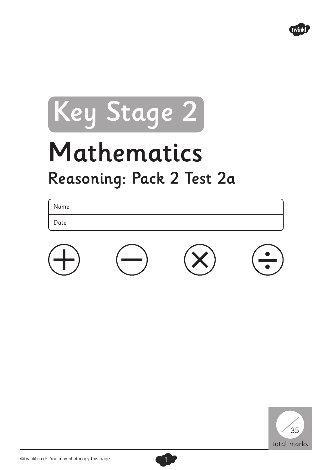

# Key Stage 2

# Mathematics Reasoning: Pack 2 Test 2a

| Name |  |  |
|------|--|--|
| Date |  |  |
|      |  |  |



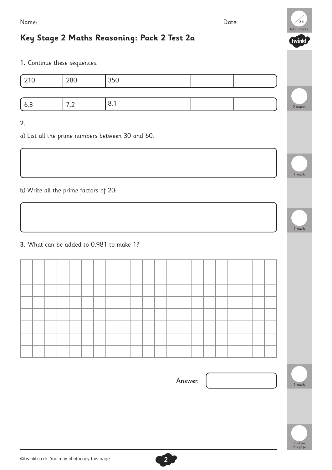### **Key Stage 2 Maths Reasoning: Pack 2 Test 2a**

1. Continue these sequences:

| 210 | 280                             | 350 |  |  |
|-----|---------------------------------|-----|--|--|
| 6.3 | ¬ ⌒<br>$\overline{\phantom{a}}$ | 8.1 |  |  |

#### 2.

a) List all the prime numbers between 30 and 60:

b) Write all the prime factors of 20:

3. What can be added to 0.981 to make 1?

Answer:

2

1 mark

2 marks

total marks ้วุ⊏

twinkl

1 mark

1 mark

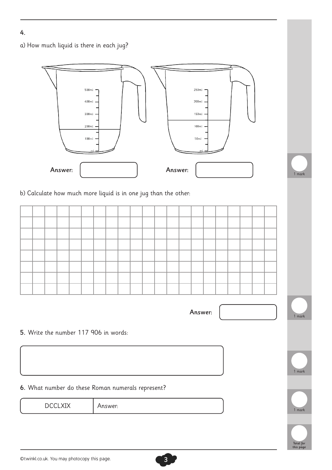a) How much liquid is there in each jug?



5. Write the number 117 906 in words:

6. What number do these Roman numerals represent?

**DCCLXIX** 

Answer:

Answer:



1 mark

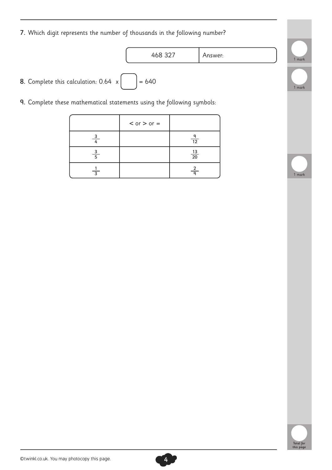7. Which digit represents the number of thousands in the following number?

468 327 Answer:

**8.** Complete this calculation:  $0.64 \times \begin{bmatrix} 1 & 1 \end{bmatrix} = 640$ 

9. Complete these mathematical statements using the following symbols:

|               | $<$ or $>$ or $=$ |                           |
|---------------|-------------------|---------------------------|
|               |                   | 12                        |
| $\frac{3}{5}$ |                   | $\frac{13}{20}$           |
| ্ব            |                   | $\frac{2}{2}$<br>$\Omega$ |







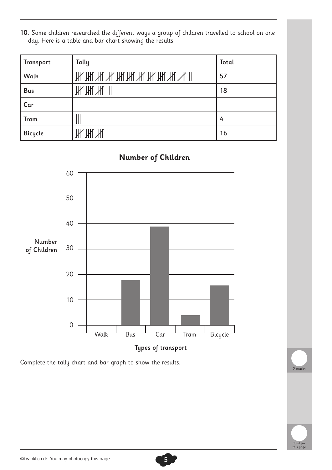10. Some children researched the different ways a group of children travelled to school on one day. Here is a table and bar chart showing the results:

| Transport      | Tally                        | Total |
|----------------|------------------------------|-------|
| Walk           | <u>ЖИНИ ЖИНИ ЖИНИ ЖИНИ М</u> | 57    |
| <b>Bus</b>     | ЖЖЖШ                         | 18    |
| Car            |                              |       |
| <b>Tram</b>    |                              | 4     |
| <b>Bicycle</b> | <u>Ж Ж Ж</u>                 | 16    |



Complete the tally chart and bar graph to show the results.

## 2 marks



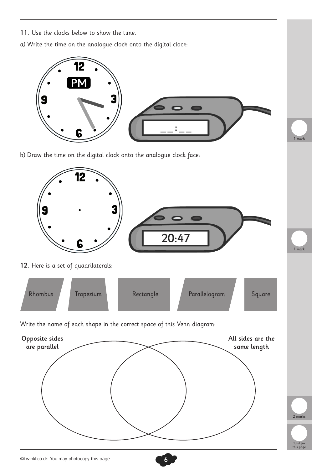11. Use the clocks below to show the time. a) Write the time on the analogue clock onto the digital clock: mark b) Draw the time on the digital clock onto the analogue clock face: 12  $20:47$ 1 mark 12. Here is a set of quadrilaterals: Rhombus Trapezium Rectangle Parallelogram Square Write the name of each shape in the correct space of this Venn diagram: Opposite sides All sides are the are parallel same length 2 marks Total for this page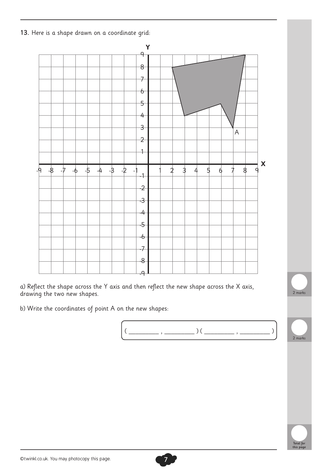13. Here is a shape drawn on a coordinate grid:



a) Reflect the shape across the Y axis and then reflect the new shape across the X axis, drawing the two new shapes.

b) Write the coordinates of point A on the new shapes:





2 marks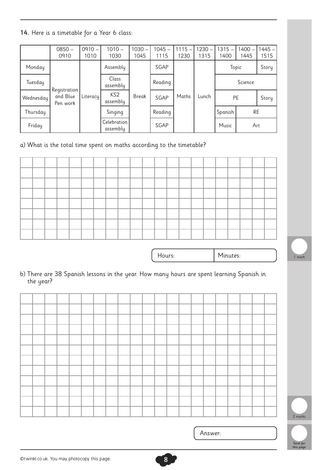14. Here is a timetable for a Year 6 class:

|           | $0850 -$<br>0910                     | $0910 -$<br>1010 | $1010 -$<br>1030            | $1030 -$<br>1045 | $1045 -$<br>1115 | $1115 -$<br>1230 | $1230 -$<br>1315 | $1315 -$<br>1400 | $1400 -$<br>1445 | $1445 -$<br>1515 |
|-----------|--------------------------------------|------------------|-----------------------------|------------------|------------------|------------------|------------------|------------------|------------------|------------------|
| Monday    |                                      |                  | Assembly                    |                  | SGAP             |                  |                  | Topic            | Story            |                  |
| Tuesday   |                                      |                  | Class<br>assembly           |                  | Reading          |                  |                  |                  | Science          |                  |
| Wednesday | Registration<br>and Blue<br>Pen work | Literacy         | KS <sub>2</sub><br>assembly | <b>Break</b>     | SGAP             | Maths            | Lunch            |                  | <b>PE</b>        | Story            |
| Thursday  |                                      |                  | Singing                     |                  | Reading          |                  |                  | Spanish          | <b>RE</b>        |                  |
| Friday    |                                      |                  | Celebration<br>assembly     |                  | SGAP             |                  |                  | Music            | Art              |                  |

a) What is the total time spent on maths according to the timetable?



Hours:

Minutes:

b) There are 38 Spanish lessons in the year. How many hours are spent learning Spanish in the year?



1 mark

Total for this page

Answer: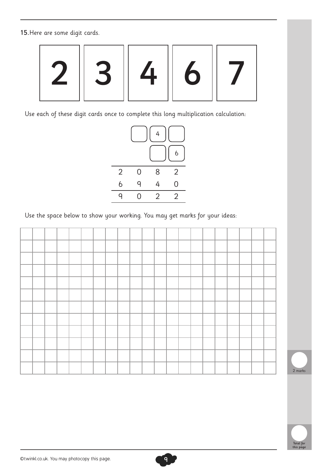15.Here are some digit cards.



Use each of these digit cards once to complete this long multiplication calculation:



Use the space below to show your working. You may get marks for your ideas:





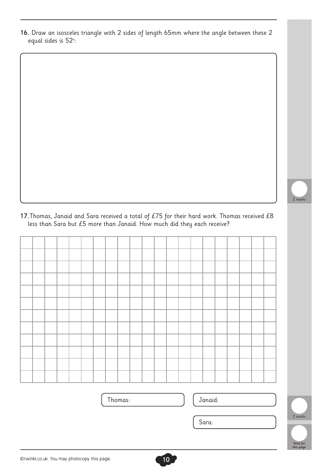16. Draw an isosceles triangle with 2 sides of length 65mm where the angle between these 2 equal sides is 52°:

2 marks

17. Thomas, Janaid and Sara received a total of £75 for their hard work. Thomas received £8 less than Sara but £5 more than Janaid. How much did they each receive?

Thomas:  $\vert$  Janaid:

| ×<br>I | ۰.<br>۰,<br>× | ٠<br>×<br>. .<br>× | I |
|--------|---------------|--------------------|---|
|        |               |                    |   |



Sara: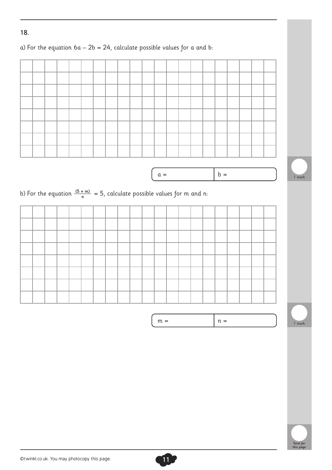#### 18.

### a) For the equation  $6a - 2b = 24$ , calculate possible values for a and b:



 $m =$  $n =$ 



1 mark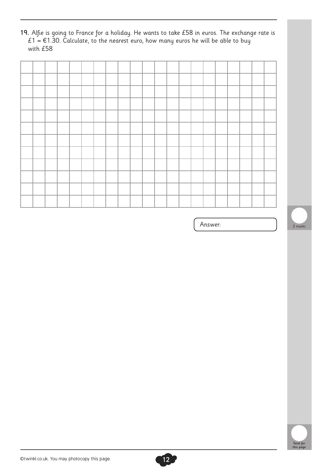19. Alfie is going to France for a holiday. He wants to take £58 in euros. The exchange rate is £1 = €1.30. Calculate, to the nearest euro, how many euros he will be able to buy with £58



Answer:



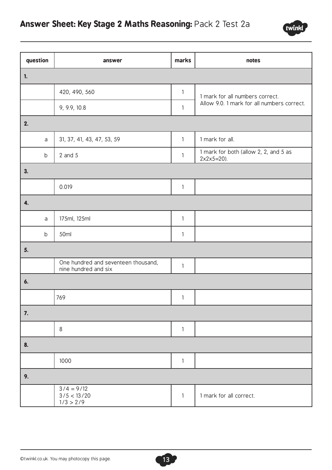

| question       | answer                                                      | marks        | notes                                                  |
|----------------|-------------------------------------------------------------|--------------|--------------------------------------------------------|
| $\mathbf{1}$ . |                                                             |              |                                                        |
|                | 420, 490, 560                                               | $\mathbf{1}$ | 1 mark for all numbers correct.                        |
|                | 9, 9.9, 10.8                                                | 1            | Allow 9.0. 1 mark for all numbers correct.             |
| 2.             |                                                             |              |                                                        |
| a              | 31, 37, 41, 43, 47, 53, 59                                  | $\mathbf{1}$ | 1 mark for all.                                        |
| $\mathsf b$    | $2$ and $5$                                                 | $\mathbf{1}$ | 1 mark for both (allow 2, 2, and 5 as<br>$2x2x5=20$ ). |
| 3.             |                                                             |              |                                                        |
|                | 0.019                                                       | $\mathbf{1}$ |                                                        |
| 4.             |                                                             |              |                                                        |
| a              | 175ml, 125ml                                                | 1            |                                                        |
| $\mathsf b$    | 50ml                                                        | $\mathbf{1}$ |                                                        |
| 5.             |                                                             |              |                                                        |
|                | One hundred and seventeen thousand,<br>nine hundred and six | $\mathbf{1}$ |                                                        |
| 6.             |                                                             |              |                                                        |
|                | 769                                                         | $\mathbf{1}$ |                                                        |
| 7.             |                                                             |              |                                                        |
|                | 8                                                           | $\mathbf{1}$ |                                                        |
| 8.             |                                                             |              |                                                        |
|                | 1000                                                        | $\mathbf{1}$ |                                                        |
| 9.             |                                                             |              |                                                        |
|                | $3/4 = 9/12$<br>3/5 < 13/20<br>1/3 > 2/9                    | 1            | 1 mark for all correct.                                |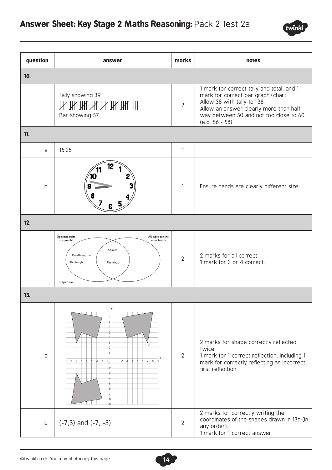

| question    | answer                                                                                                                                                                                                                                                                                                                               | marks          | notes                                                                                                                                                                                                                 |
|-------------|--------------------------------------------------------------------------------------------------------------------------------------------------------------------------------------------------------------------------------------------------------------------------------------------------------------------------------------|----------------|-----------------------------------------------------------------------------------------------------------------------------------------------------------------------------------------------------------------------|
| 10.         |                                                                                                                                                                                                                                                                                                                                      |                |                                                                                                                                                                                                                       |
|             | Tally showing 39<br><u>ЖИНИ ЖИНИ ЖИШ</u><br>Bar showing 57                                                                                                                                                                                                                                                                           | $\overline{2}$ | 1 mark for correct tally and total, and 1<br>mark for correct bar graph/chart.<br>Allow 38 with tally for 38.<br>Allow an answer clearly more than half<br>way between 50 and not too close to 60<br>$(e.g. 56 - 58)$ |
| 11.         |                                                                                                                                                                                                                                                                                                                                      |                |                                                                                                                                                                                                                       |
| a           | 15:25                                                                                                                                                                                                                                                                                                                                | 1              |                                                                                                                                                                                                                       |
| $\mathsf b$ |                                                                                                                                                                                                                                                                                                                                      | $\mathbf{1}$   | Ensure hands are clearly different size.                                                                                                                                                                              |
| 12.         |                                                                                                                                                                                                                                                                                                                                      |                |                                                                                                                                                                                                                       |
|             | Opposite sides<br>All sides are the<br>are parallel<br>same length<br>Square<br>Parallelogram<br>Rectangle<br>Rhombus<br>Trapezium                                                                                                                                                                                                   | $\overline{2}$ | 2 marks for all correct.<br>1 mark for 3 or 4 correct.                                                                                                                                                                |
| 13.         |                                                                                                                                                                                                                                                                                                                                      |                |                                                                                                                                                                                                                       |
| a           | Y<br>8<br>$\ddot{\phantom{0}}$<br>-5<br>4<br>$\overline{\mathbf{3}}$<br>Α<br>$\overline{2}$<br>$3 \quad 4$<br>$\overline{5}$<br>6 <sub>7</sub><br>$\overline{8}$<br>$-9 - 8$<br>$-7$ $-6$ $-5$ $-4$ $-3$ $-2$<br>$\overline{2}$<br>$-1$<br>$-2$<br>$-3$<br>-4<br>$-5$<br>$\overline{\phantom{a}}$<br>$-7$<br>$\overline{\mathbf{8}}$ | $\overline{2}$ | 2 marks for shape correctly reflected<br>twice.<br>1 mark for 1 correct reflection, including 1<br>mark for correctly reflecting an incorrect<br>first reflection.                                                    |
| $\mathsf b$ | $(-7,3)$ and $(-7, -3)$                                                                                                                                                                                                                                                                                                              | $\overline{2}$ | 2 marks for correctly writing the<br>coordinates of the shapes drawn in 13a (in<br>any order).<br>1 mark for 1 correct answer.                                                                                        |